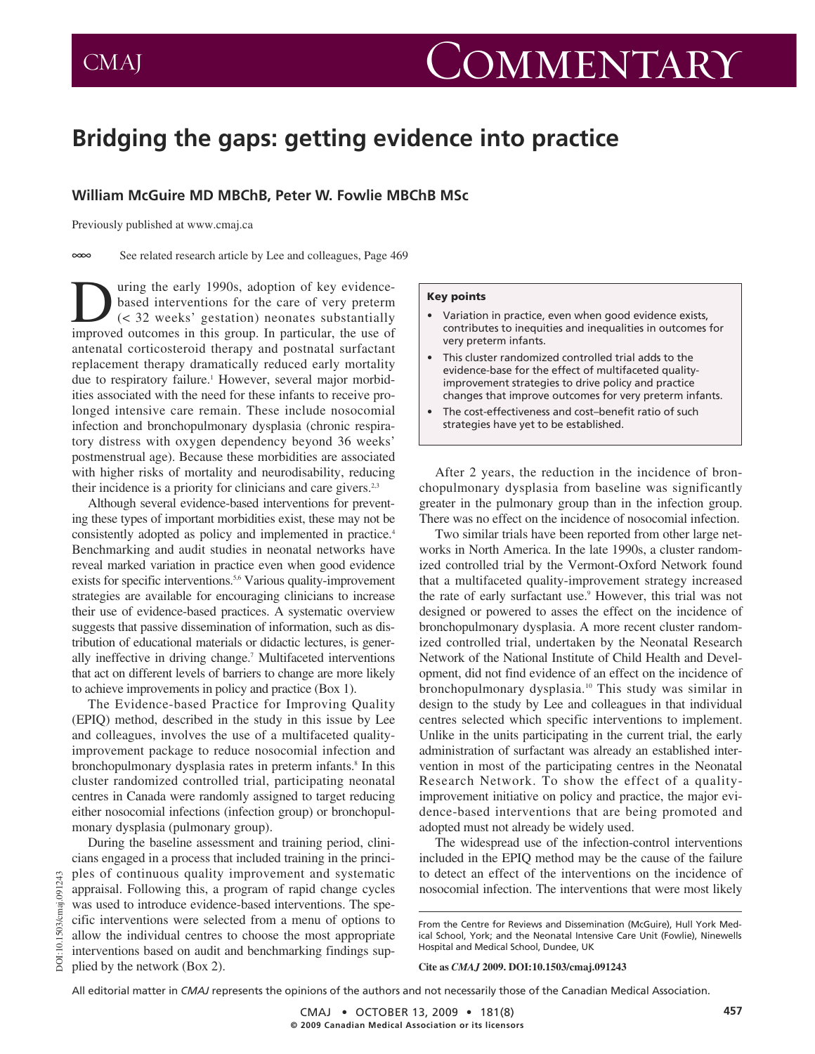# **Bridging the gaps: getting evidence into practice**

# **William McGuire MD MBChB, Peter W. Fowlie MBChB MSc**

Previously published at www.cmaj.ca

 $\infty$ See related research article by Lee and colleagues, Page 469

 $\sum$  uring the early 1990s, adoption of key evidence-<br>based interventions for the care of very preterm<br> $($ khanged outcomes in this group. In particular, the use of based interventions for the care of very preterm (< 32 weeks' gestation) neonates substantially improved outcomes in this group. In particular, the use of antenatal corticosteroid therapy and postnatal surfactant replacement therapy dramatically reduced early mortality due to respiratory failure.<sup>1</sup> However, several major morbidities associated with the need for these infants to receive prolonged intensive care remain. These include nosocomial infection and bronchopulmonary dysplasia (chronic respiratory distress with oxygen dependency beyond 36 weeks' postmenstrual age). Because these morbidities are associated with higher risks of mortality and neurodisability, reducing their incidence is a priority for clinicians and care givers. $23$ 

Although several evidence-based interventions for preventing these types of important morbidities exist, these may not be consistently adopted as policy and implemented in practice.<sup>4</sup> Benchmarking and audit studies in neonatal networks have reveal marked variation in practice even when good evidence exists for specific interventions.<sup>5,6</sup> Various quality-improvement strategies are available for encouraging clinicians to increase their use of evidence-based practices. A systematic overview suggests that passive dissemination of information, such as distribution of educational materials or didactic lectures, is generally ineffective in driving change.7 Multifaceted interventions that act on different levels of barriers to change are more likely to achieve improvements in policy and practice (Box 1).

The Evidence-based Practice for Improving Quality (EPIQ) method, described in the study in this issue by Lee and colleagues, involves the use of a multifaceted qualityimprovement package to reduce nosocomial infection and bronchopulmonary dysplasia rates in preterm infants.<sup>8</sup> In this cluster randomized controlled trial, participating neonatal centres in Canada were randomly assigned to target reducing either nosocomial infections (infection group) or bronchopulmonary dysplasia (pulmonary group).

During the baseline assessment and training period, clinicians engaged in a process that included training in the principles of continuous quality improvement and systematic appraisal. Following this, a program of rapid change cycles was used to introduce evidence-based interventions. The specific interventions were selected from a menu of options to allow the individual centres to choose the most appropriate interventions based on audit and benchmarking findings supplied by the network (Box 2).

DOI:10.1503/cmaj.091243

DOI:10.1503/cmaj.091

#### **Key points**

- Variation in practice, even when good evidence exists, contributes to inequities and inequalities in outcomes for very preterm infants.
- This cluster randomized controlled trial adds to the evidence-base for the effect of multifaceted qualityimprovement strategies to drive policy and practice changes that improve outcomes for very preterm infants.
- The cost-effectiveness and cost-benefit ratio of such strategies have yet to be established.

After 2 years, the reduction in the incidence of bronchopulmonary dysplasia from baseline was significantly greater in the pulmonary group than in the infection group. There was no effect on the incidence of nosocomial infection.

Two similar trials have been reported from other large networks in North America. In the late 1990s, a cluster randomized controlled trial by the Vermont-Oxford Network found that a multifaceted quality-improvement strategy increased the rate of early surfactant use.9 However, this trial was not designed or powered to asses the effect on the incidence of bronchopulmonary dysplasia. A more recent cluster randomized controlled trial, undertaken by the Neonatal Research Network of the National Institute of Child Health and Development, did not find evidence of an effect on the incidence of bronchopulmonary dysplasia.10 This study was similar in design to the study by Lee and colleagues in that individual centres selected which specific interventions to implement. Unlike in the units participating in the current trial, the early administration of surfactant was already an established intervention in most of the participating centres in the Neonatal Research Network. To show the effect of a qualityimprovement initiative on policy and practice, the major evidence-based interventions that are being promoted and adopted must not already be widely used.

The widespread use of the infection-control interventions included in the EPIQ method may be the cause of the failure to detect an effect of the interventions on the incidence of nosocomial infection. The interventions that were most likely

#### **Cite as** *CMAJ* **2009. DOI:10.1503/cmaj.091243**

All editorial matter in *CMAJ* represents the opinions of the authors and not necessarily those of the Canadian Medical Association.

From the Centre for Reviews and Dissemination (McGuire), Hull York Medical School, York; and the Neonatal Intensive Care Unit (Fowlie), Ninewells Hospital and Medical School, Dundee, UK